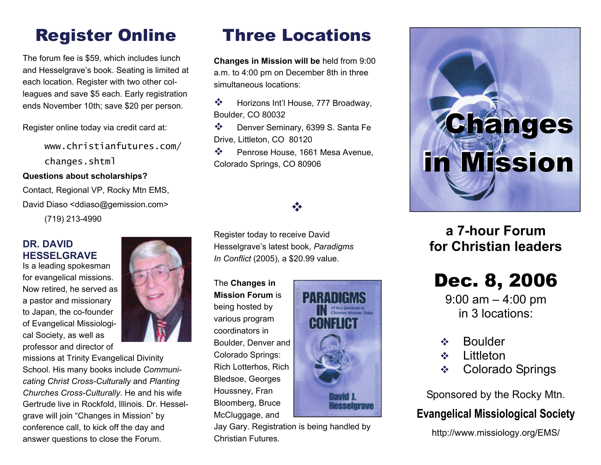# Register Online

The forum fee is \$59, which includes lunch and Hesselgrave's book. Seating is limited at each location. Register with two other colleagues and save \$5 each. Early registration ends November 10th; save \$20 per person.

Register online today via credit card at:

www.christianfutures.com/ changes.shtml

#### **Questions about scholarships?**

Contact, Regional VP, Rocky Mtn EMS, David Diaso <ddiaso@gemission.com>

(719) 213-4990

### **DR. DAVID HESSELGRAVE**

Is a leading spokesman for evangelical missions. Now retired, he served as a pastor and missionary to Japan, the co-founder of Evangelical Missiological Society, as well as professor and director of



missions at Trinity Evangelical Divinity School. His many books include *Communicating Christ Cross-Culturally* and *Planting Churches Cross-Culturally*. He and his wife Gertrude live in Rockfold, Illinois. Dr. Hesselgrave will join "Changes in Mission" by conference call, to kick off the day and answer questions to close the Forum.

## Three Locations

**Changes in Mission will be** held from 9:00 a.m. to 4:00 pm on December 8th in three simultaneous locations:

豪 Horizons Int'l House, 777 Broadway, Boulder, CO 80032

 $\frac{1}{2}$  Denver Seminary, 6399 S. Santa Fe Drive, Littleton, CO 80120

 $\frac{1}{2}$  Penrose House, 1661 Mesa Avenue, Colorado Springs, CO 80906

### $\frac{\partial}{\partial x^i}$

Register today to receive David Hesselgrave's latest book, *Paradigms In Conflict* (2005), a \$20.99 value.

The **Changes in Mission Forum** is being hosted by various program coordinators in Boulder, Denver and Colorado Springs: Rich Lotterhos, Rich Bledsoe, Georges Houssney, Fran Bloomberg, Bruce McCluggage, and



Jay Gary. Registration is being handled by Christian Futures.



## **a 7-hour Forum for Christian leaders**

# Dec. 8, 2006

9:00 am – 4:00 pm in 3 locations:

- $\mathbf{e}^{\mathbf{e}}_{\mathbf{e}}$ Boulder
- $\mathbf{e}^{\mathbf{e}}_{\mathbf{e}}$ **Littleton**
- $\frac{1}{2}$ Colorado Springs

Sponsored by the Rocky Mtn.

### **Evangelical Missiological Society**

http://www.missiology.org/EMS/